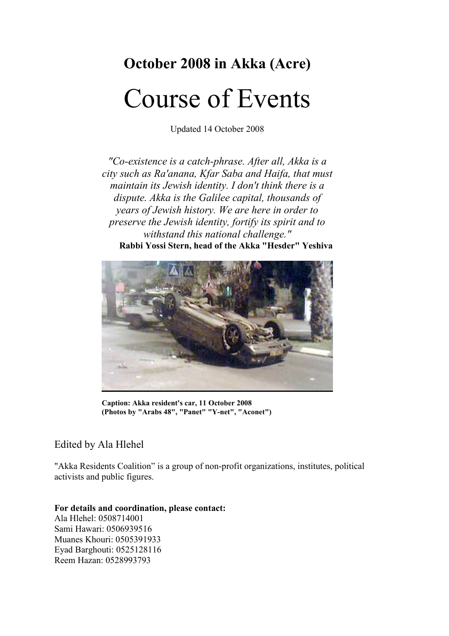# October 2008 in Akka (Acre)

# Course of Events

Updated 14 October 2008

"Co-existence is a catch-phrase. After all, Akka is a city such as Ra'anana, Kfar Saba and Haifa, that must maintain its Jewish identity. I don't think there is a dispute. Akka is the Galilee capital, thousands of years of Jewish history. We are here in order to preserve the Jewish identity, fortify its spirit and to withstand this national challenge." Rabbi Yossi Stern, head of the Akka "Hesder" Yeshiva



Caption: Akka resident's car, 11 October 2008 (Photos by "Arabs 48", "Panet" "Y-net", "Aconet")

## Edited by Ala Hlehel

"Akka Residents Coalition" is a group of non-profit organizations, institutes, political activists and public figures.

#### For details and coordination, please contact:

Ala Hlehel: 0508714001 Sami Hawari: 0506939516 Muanes Khouri: 0505391933 Eyad Barghouti: 0525128116 Reem Hazan: 0528993793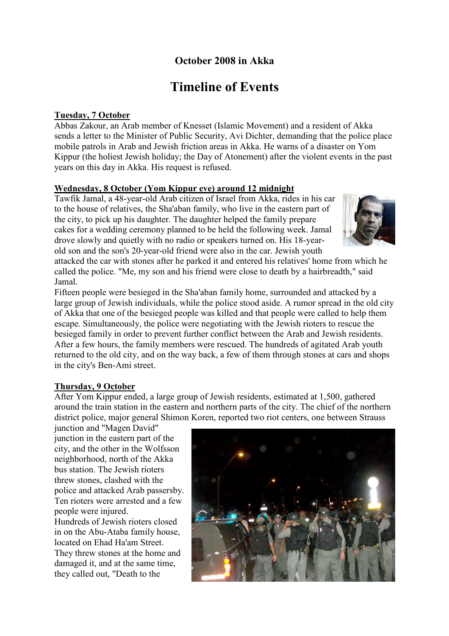## October 2008 in Akka

# Timeline of Events

#### Tuesday, 7 October

Abbas Zakour, an Arab member of Knesset (Islamic Movement) and a resident of Akka sends a letter to the Minister of Public Security, Avi Dichter, demanding that the police place mobile patrols in Arab and Jewish friction areas in Akka. He warns of a disaster on Yom Kippur (the holiest Jewish holiday; the Day of Atonement) after the violent events in the past years on this day in Akka. His request is refused.

#### Wednesday, 8 October (Yom Kippur eve) around 12 midnight

Tawfik Jamal, a 48-year-old Arab citizen of Israel from Akka, rides in his car to the house of relatives, the Sha'aban family, who live in the eastern part of the city, to pick up his daughter. The daughter helped the family prepare cakes for a wedding ceremony planned to be held the following week. Jamal drove slowly and quietly with no radio or speakers turned on. His 18-yearold son and the son's 20-year-old friend were also in the car. Jewish youth



attacked the car with stones after he parked it and entered his relatives' home from which he called the police. "Me, my son and his friend were close to death by a hairbreadth," said Jamal.

Fifteen people were besieged in the Sha'aban family home, surrounded and attacked by a large group of Jewish individuals, while the police stood aside. A rumor spread in the old city of Akka that one of the besieged people was killed and that people were called to help them escape. Simultaneously, the police were negotiating with the Jewish rioters to rescue the besieged family in order to prevent further conflict between the Arab and Jewish residents. After a few hours, the family members were rescued. The hundreds of agitated Arab youth returned to the old city, and on the way back, a few of them through stones at cars and shops in the city's Ben-Ami street.

#### Thursday, 9 October

After Yom Kippur ended, a large group of Jewish residents, estimated at 1,500, gathered around the train station in the eastern and northern parts of the city. The chief of the northern district police, major general Shimon Koren, reported two riot centers, one between Strauss

junction and "Magen David" junction in the eastern part of the city, and the other in the Wolfsson neighborhood, north of the Akka bus station. The Jewish rioters threw stones, clashed with the police and attacked Arab passersby. Ten rioters were arrested and a few people were injured. Hundreds of Jewish rioters closed in on the Abu-Ataba family house, located on Ehad Ha'am Street. They threw stones at the home and damaged it, and at the same time, they called out, "Death to the

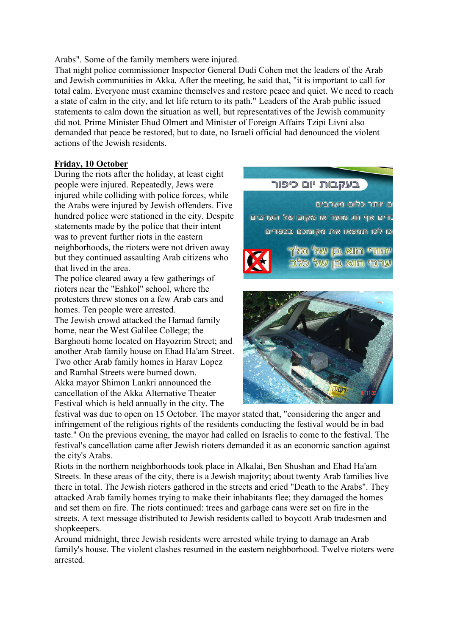Arabs". Some of the family members were injured.

That night police commissioner Inspector General Dudi Cohen met the leaders of the Arab and Jewish communities in Akka. After the meeting, he said that, "it is important to call for total calm. Everyone must examine themselves and restore peace and quiet. We need to reach a state of calm in the city, and let life return to its path." Leaders of the Arab public issued statements to calm down the situation as well, but representatives of the Jewish community did not. Prime Minister Ehud Olmert and Minister of Foreign Affairs Tzipi Livni also demanded that peace be restored, but to date, no Israeli official had denounced the violent actions of the Jewish residents.

#### Friday, 10 October

During the riots after the holiday, at least eight people were injured. Repeatedly, Jews were injured while colliding with police forces, while the Arabs were injured by Jewish offenders. Five hundred police were stationed in the city. Despite statements made by the police that their intent was to prevent further riots in the eastern neighborhoods, the rioters were not driven away but they continued assaulting Arab citizens who that lived in the area.

The police cleared away a few gatherings of rioters near the "Eshkol" school, where the protesters threw stones on a few Arab cars and homes. Ten people were arrested.

The Jewish crowd attacked the Hamad family home, near the West Galilee College; the Barghouti home located on Hayozrim Street; and another Arab family house on Ehad Ha'am Street. Two other Arab family homes in Harav Lopez and Ramhal Streets were burned down. Akka mayor Shimon Lankri announced the cancellation of the Akka Alternative Theater Festival which is held annually in the city. The

### בעקבות יום כיפור





festival was due to open on 15 October. The mayor stated that, "considering the anger and infringement of the religious rights of the residents conducting the festival would be in bad taste." On the previous evening, the mayor had called on Israelis to come to the festival. The festival's cancellation came after Jewish rioters demanded it as an economic sanction against the city's Arabs.

Riots in the northern neighborhoods took place in Alkalai, Ben Shushan and Ehad Ha'am Streets. In these areas of the city, there is a Jewish majority; about twenty Arab families live there in total. The Jewish rioters gathered in the streets and cried "Death to the Arabs". They attacked Arab family homes trying to make their inhabitants flee; they damaged the homes and set them on fire. The riots continued: trees and garbage cans were set on fire in the streets. A text message distributed to Jewish residents called to boycott Arab tradesmen and shopkeepers.

Around midnight, three Jewish residents were arrested while trying to damage an Arab family's house. The violent clashes resumed in the eastern neighborhood. Twelve rioters were arrested.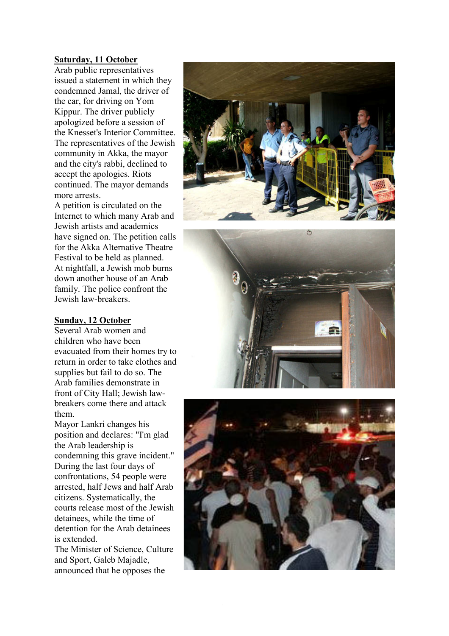#### Saturday, 11 October

Arab public representatives issued a statement in which they condemned Jamal, the driver of the car, for driving on Yom Kippur. The driver publicly apologized before a session of the Knesset's Interior Committee. The representatives of the Jewish community in Akka, the mayor and the city's rabbi, declined to accept the apologies. Riots continued. The mayor demands more arrests.

A petition is circulated on the Internet to which many Arab and Jewish artists and academics have signed on. The petition calls for the Akka Alternative Theatre Festival to be held as planned. At nightfall, a Jewish mob burns down another house of an Arab family. The police confront the Jewish law-breakers.

#### Sunday, 12 October

Several Arab women and children who have been evacuated from their homes try to return in order to take clothes and supplies but fail to do so. The Arab families demonstrate in front of City Hall; Jewish lawbreakers come there and attack them.

Mayor Lankri changes his position and declares: "I'm glad the Arab leadership is condemning this grave incident." During the last four days of confrontations, 54 people were arrested, half Jews and half Arab citizens. Systematically, the courts release most of the Jewish detainees, while the time of detention for the Arab detainees is extended.

The Minister of Science, Culture and Sport, Galeb Majadle, announced that he opposes the





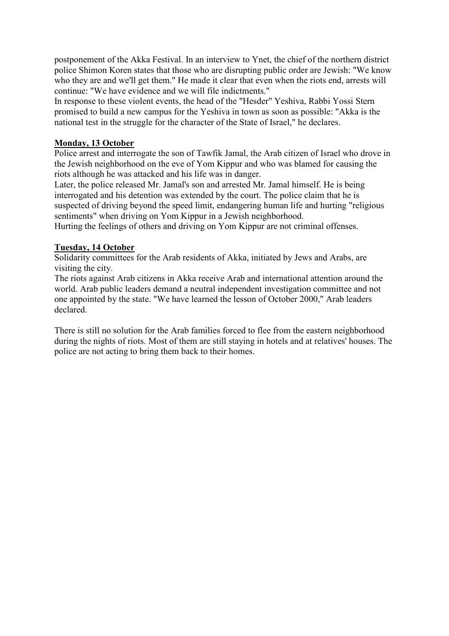postponement of the Akka Festival. In an interview to Ynet, the chief of the northern district police Shimon Koren states that those who are disrupting public order are Jewish: "We know who they are and we'll get them." He made it clear that even when the riots end, arrests will continue: "We have evidence and we will file indictments."

In response to these violent events, the head of the "Hesder" Yeshiva, Rabbi Yossi Stern promised to build a new campus for the Yeshiva in town as soon as possible: "Akka is the national test in the struggle for the character of the State of Israel," he declares.

#### Monday, 13 October

Police arrest and interrogate the son of Tawfik Jamal, the Arab citizen of Israel who drove in the Jewish neighborhood on the eve of Yom Kippur and who was blamed for causing the riots although he was attacked and his life was in danger.

Later, the police released Mr. Jamal's son and arrested Mr. Jamal himself. He is being interrogated and his detention was extended by the court. The police claim that he is suspected of driving beyond the speed limit, endangering human life and hurting "religious sentiments" when driving on Yom Kippur in a Jewish neighborhood.

Hurting the feelings of others and driving on Yom Kippur are not criminal offenses.

#### Tuesday, 14 October

Solidarity committees for the Arab residents of Akka, initiated by Jews and Arabs, are visiting the city.

The riots against Arab citizens in Akka receive Arab and international attention around the world. Arab public leaders demand a neutral independent investigation committee and not one appointed by the state. "We have learned the lesson of October 2000," Arab leaders declared.

There is still no solution for the Arab families forced to flee from the eastern neighborhood during the nights of riots. Most of them are still staying in hotels and at relatives' houses. The police are not acting to bring them back to their homes.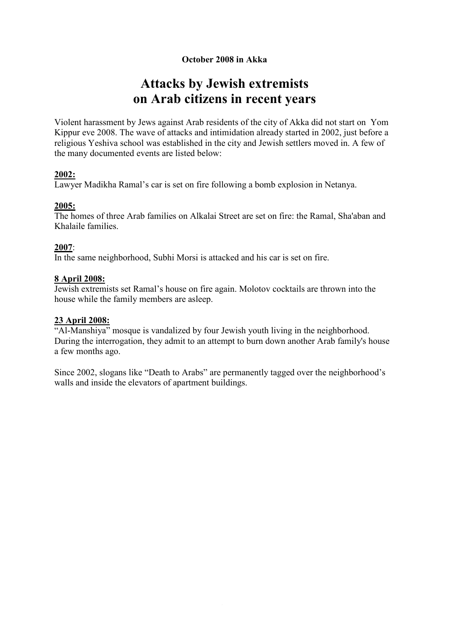### October 2008 in Akka

# Attacks by Jewish extremists on Arab citizens in recent years

Violent harassment by Jews against Arab residents of the city of Akka did not start on Yom Kippur eve 2008. The wave of attacks and intimidation already started in 2002, just before a religious Yeshiva school was established in the city and Jewish settlers moved in. A few of the many documented events are listed below:

#### 2002:

Lawyer Madikha Ramal's car is set on fire following a bomb explosion in Netanya.

#### 2005:

The homes of three Arab families on Alkalai Street are set on fire: the Ramal, Sha'aban and Khalaile families.

#### 2007:

In the same neighborhood, Subhi Morsi is attacked and his car is set on fire.

#### 8 April 2008:

Jewish extremists set Ramal's house on fire again. Molotov cocktails are thrown into the house while the family members are asleep.

#### 23 April 2008:

"Al-Manshiya" mosque is vandalized by four Jewish youth living in the neighborhood. During the interrogation, they admit to an attempt to burn down another Arab family's house a few months ago.

Since 2002, slogans like "Death to Arabs" are permanently tagged over the neighborhood's walls and inside the elevators of apartment buildings.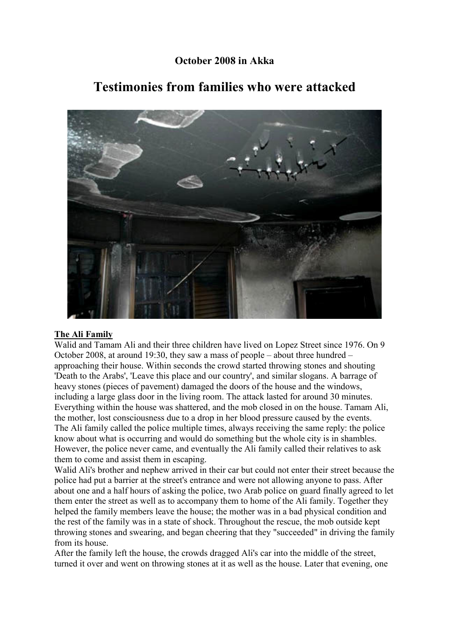## October 2008 in Akka



# Testimonies from families who were attacked

#### The Ali Family

Walid and Tamam Ali and their three children have lived on Lopez Street since 1976. On 9 October 2008, at around 19:30, they saw a mass of people – about three hundred – approaching their house. Within seconds the crowd started throwing stones and shouting 'Death to the Arabs', 'Leave this place and our country', and similar slogans. A barrage of heavy stones (pieces of pavement) damaged the doors of the house and the windows, including a large glass door in the living room. The attack lasted for around 30 minutes. Everything within the house was shattered, and the mob closed in on the house. Tamam Ali, the mother, lost consciousness due to a drop in her blood pressure caused by the events. The Ali family called the police multiple times, always receiving the same reply: the police know about what is occurring and would do something but the whole city is in shambles. However, the police never came, and eventually the Ali family called their relatives to ask them to come and assist them in escaping.

Walid Ali's brother and nephew arrived in their car but could not enter their street because the police had put a barrier at the street's entrance and were not allowing anyone to pass. After about one and a half hours of asking the police, two Arab police on guard finally agreed to let them enter the street as well as to accompany them to home of the Ali family. Together they helped the family members leave the house; the mother was in a bad physical condition and the rest of the family was in a state of shock. Throughout the rescue, the mob outside kept throwing stones and swearing, and began cheering that they "succeeded" in driving the family from its house.

After the family left the house, the crowds dragged Ali's car into the middle of the street, turned it over and went on throwing stones at it as well as the house. Later that evening, one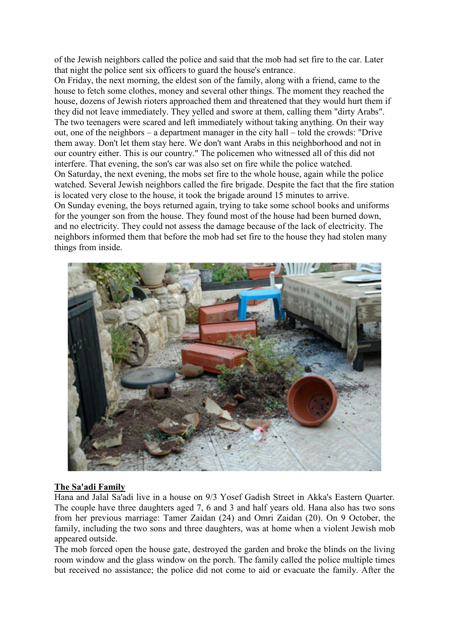of the Jewish neighbors called the police and said that the mob had set fire to the car. Later that night the police sent six officers to guard the house's entrance.

On Friday, the next morning, the eldest son of the family, along with a friend, came to the house to fetch some clothes, money and several other things. The moment they reached the house, dozens of Jewish rioters approached them and threatened that they would hurt them if they did not leave immediately. They yelled and swore at them, calling them "dirty Arabs". The two teenagers were scared and left immediately without taking anything. On their way out, one of the neighbors – a department manager in the city hall – told the crowds: "Drive them away. Don't let them stay here. We don't want Arabs in this neighborhood and not in our country either. This is our country." The policemen who witnessed all of this did not interfere. That evening, the son's car was also set on fire while the police watched. On Saturday, the next evening, the mobs set fire to the whole house, again while the police watched. Several Jewish neighbors called the fire brigade. Despite the fact that the fire station is located very close to the house, it took the brigade around 15 minutes to arrive. On Sunday evening, the boys returned again, trying to take some school books and uniforms for the younger son from the house. They found most of the house had been burned down, and no electricity. They could not assess the damage because of the lack of electricity. The neighbors informed them that before the mob had set fire to the house they had stolen many things from inside.



#### The Sa'adi Family

Hana and Jalal Sa'adi live in a house on 9/3 Yosef Gadish Street in Akka's Eastern Quarter. The couple have three daughters aged 7, 6 and 3 and half years old. Hana also has two sons from her previous marriage: Tamer Zaidan (24) and Omri Zaidan (20). On 9 October, the family, including the two sons and three daughters, was at home when a violent Jewish mob appeared outside.

The mob forced open the house gate, destroyed the garden and broke the blinds on the living room window and the glass window on the porch. The family called the police multiple times but received no assistance; the police did not come to aid or evacuate the family. After the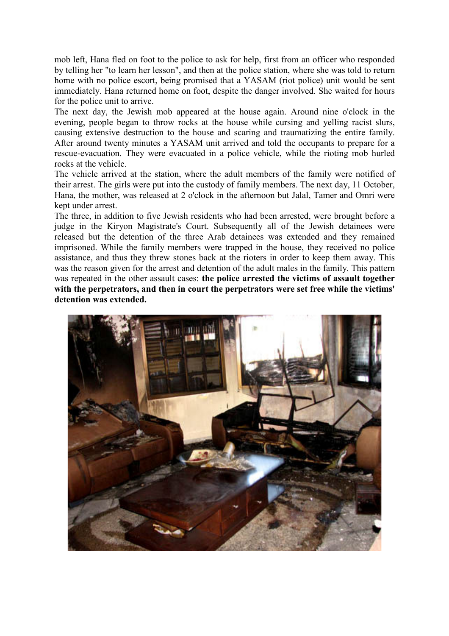mob left, Hana fled on foot to the police to ask for help, first from an officer who responded by telling her "to learn her lesson", and then at the police station, where she was told to return home with no police escort, being promised that a YASAM (riot police) unit would be sent immediately. Hana returned home on foot, despite the danger involved. She waited for hours for the police unit to arrive.

The next day, the Jewish mob appeared at the house again. Around nine o'clock in the evening, people began to throw rocks at the house while cursing and yelling racist slurs, causing extensive destruction to the house and scaring and traumatizing the entire family. After around twenty minutes a YASAM unit arrived and told the occupants to prepare for a rescue-evacuation. They were evacuated in a police vehicle, while the rioting mob hurled rocks at the vehicle.

The vehicle arrived at the station, where the adult members of the family were notified of their arrest. The girls were put into the custody of family members. The next day, 11 October, Hana, the mother, was released at 2 o'clock in the afternoon but Jalal, Tamer and Omri were kept under arrest.

The three, in addition to five Jewish residents who had been arrested, were brought before a judge in the Kiryon Magistrate's Court. Subsequently all of the Jewish detainees were released but the detention of the three Arab detainees was extended and they remained imprisoned. While the family members were trapped in the house, they received no police assistance, and thus they threw stones back at the rioters in order to keep them away. This was the reason given for the arrest and detention of the adult males in the family. This pattern was repeated in the other assault cases: the police arrested the victims of assault together with the perpetrators, and then in court the perpetrators were set free while the victims' detention was extended.

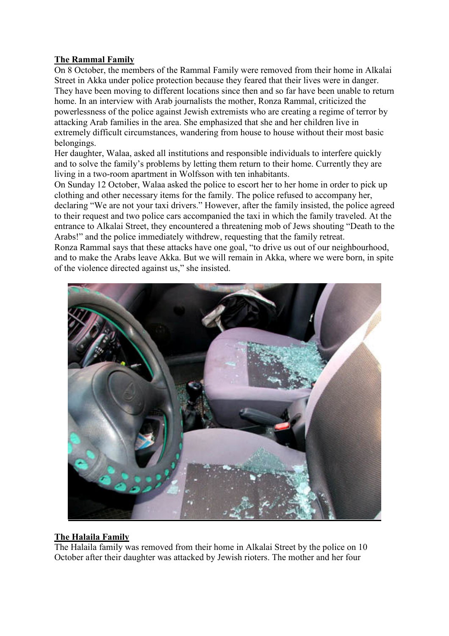#### The Rammal Family

On 8 October, the members of the Rammal Family were removed from their home in Alkalai Street in Akka under police protection because they feared that their lives were in danger. They have been moving to different locations since then and so far have been unable to return home. In an interview with Arab journalists the mother, Ronza Rammal, criticized the powerlessness of the police against Jewish extremists who are creating a regime of terror by attacking Arab families in the area. She emphasized that she and her children live in extremely difficult circumstances, wandering from house to house without their most basic belongings.

Her daughter, Walaa, asked all institutions and responsible individuals to interfere quickly and to solve the family's problems by letting them return to their home. Currently they are living in a two-room apartment in Wolfsson with ten inhabitants.

On Sunday 12 October, Walaa asked the police to escort her to her home in order to pick up clothing and other necessary items for the family. The police refused to accompany her, declaring "We are not your taxi drivers." However, after the family insisted, the police agreed to their request and two police cars accompanied the taxi in which the family traveled. At the entrance to Alkalai Street, they encountered a threatening mob of Jews shouting "Death to the Arabs!" and the police immediately withdrew, requesting that the family retreat.

Ronza Rammal says that these attacks have one goal, "to drive us out of our neighbourhood, and to make the Arabs leave Akka. But we will remain in Akka, where we were born, in spite of the violence directed against us," she insisted.



#### The Halaila Family

The Halaila family was removed from their home in Alkalai Street by the police on 10 October after their daughter was attacked by Jewish rioters. The mother and her four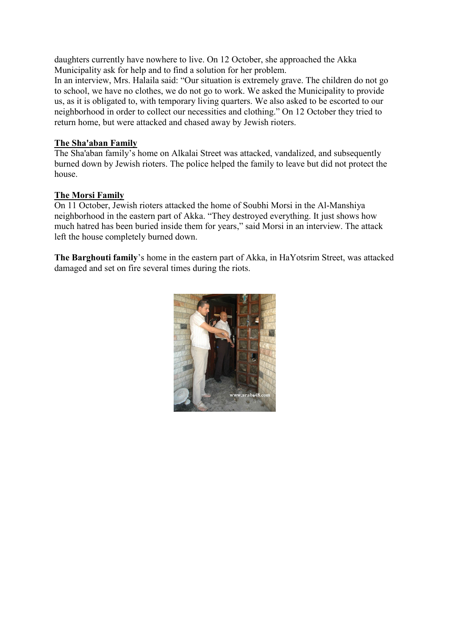daughters currently have nowhere to live. On 12 October, she approached the Akka Municipality ask for help and to find a solution for her problem.

In an interview, Mrs. Halaila said: "Our situation is extremely grave. The children do not go to school, we have no clothes, we do not go to work. We asked the Municipality to provide us, as it is obligated to, with temporary living quarters. We also asked to be escorted to our neighborhood in order to collect our necessities and clothing." On 12 October they tried to return home, but were attacked and chased away by Jewish rioters.

#### The Sha'aban Family

The Sha'aban family's home on Alkalai Street was attacked, vandalized, and subsequently burned down by Jewish rioters. The police helped the family to leave but did not protect the house.

#### The Morsi Family

On 11 October, Jewish rioters attacked the home of Soubhi Morsi in the Al-Manshiya neighborhood in the eastern part of Akka. "They destroyed everything. It just shows how much hatred has been buried inside them for years," said Morsi in an interview. The attack left the house completely burned down.

The Barghouti family's home in the eastern part of Akka, in HaYotsrim Street, was attacked damaged and set on fire several times during the riots.

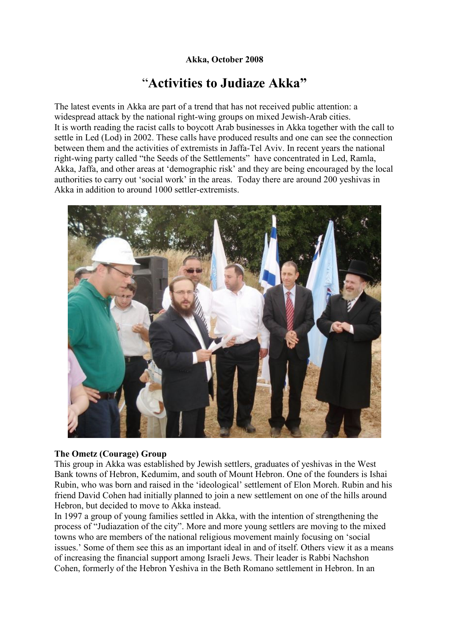## Akka, October 2008

# "Activities to Judiaze Akka"

The latest events in Akka are part of a trend that has not received public attention: a widespread attack by the national right-wing groups on mixed Jewish-Arab cities. It is worth reading the racist calls to boycott Arab businesses in Akka together with the call to settle in Led (Lod) in 2002. These calls have produced results and one can see the connection between them and the activities of extremists in Jaffa-Tel Aviv. In recent years the national right-wing party called "the Seeds of the Settlements" have concentrated in Led, Ramla, Akka, Jaffa, and other areas at 'demographic risk' and they are being encouraged by the local authorities to carry out 'social work' in the areas. Today there are around 200 yeshivas in Akka in addition to around 1000 settler-extremists.



#### The Ometz (Courage) Group

This group in Akka was established by Jewish settlers, graduates of yeshivas in the West Bank towns of Hebron, Kedumim, and south of Mount Hebron. One of the founders is Ishai Rubin, who was born and raised in the 'ideological' settlement of Elon Moreh. Rubin and his friend David Cohen had initially planned to join a new settlement on one of the hills around Hebron, but decided to move to Akka instead.

In 1997 a group of young families settled in Akka, with the intention of strengthening the process of "Judiazation of the city". More and more young settlers are moving to the mixed towns who are members of the national religious movement mainly focusing on 'social issues.' Some of them see this as an important ideal in and of itself. Others view it as a means of increasing the financial support among Israeli Jews. Their leader is Rabbi Nachshon Cohen, formerly of the Hebron Yeshiva in the Beth Romano settlement in Hebron. In an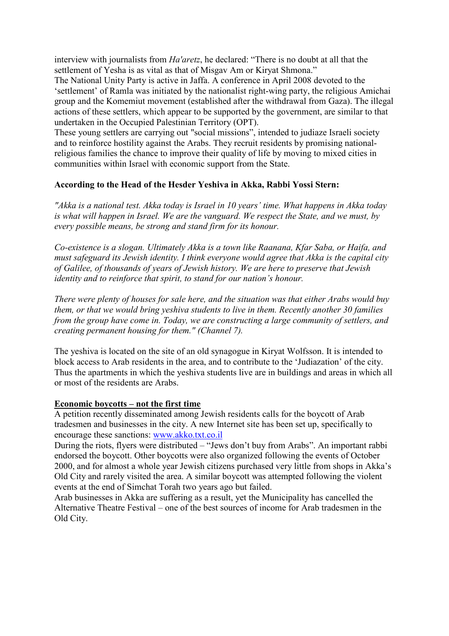interview with journalists from Ha'aretz, he declared: "There is no doubt at all that the settlement of Yesha is as vital as that of Misgav Am or Kiryat Shmona."

The National Unity Party is active in Jaffa. A conference in April 2008 devoted to the 'settlement' of Ramla was initiated by the nationalist right-wing party, the religious Amichai group and the Komemiut movement (established after the withdrawal from Gaza). The illegal actions of these settlers, which appear to be supported by the government, are similar to that undertaken in the Occupied Palestinian Territory (OPT).

These young settlers are carrying out "social missions", intended to judiaze Israeli society and to reinforce hostility against the Arabs. They recruit residents by promising nationalreligious families the chance to improve their quality of life by moving to mixed cities in communities within Israel with economic support from the State.

#### According to the Head of the Hesder Yeshiva in Akka, Rabbi Yossi Stern:

"Akka is a national test. Akka today is Israel in 10 years' time. What happens in Akka today is what will happen in Israel. We are the vanguard. We respect the State, and we must, by every possible means, be strong and stand firm for its honour.

Co-existence is a slogan. Ultimately Akka is a town like Raanana, Kfar Saba, or Haifa, and must safeguard its Jewish identity. I think everyone would agree that Akka is the capital city of Galilee, of thousands of years of Jewish history. We are here to preserve that Jewish identity and to reinforce that spirit, to stand for our nation's honour.

There were plenty of houses for sale here, and the situation was that either Arabs would buy them, or that we would bring yeshiva students to live in them. Recently another 30 families from the group have come in. Today, we are constructing a large community of settlers, and creating permanent housing for them." (Channel 7).

The yeshiva is located on the site of an old synagogue in Kiryat Wolfsson. It is intended to block access to Arab residents in the area, and to contribute to the 'Judiazation' of the city. Thus the apartments in which the yeshiva students live are in buildings and areas in which all or most of the residents are Arabs.

#### Economic boycotts – not the first time

A petition recently disseminated among Jewish residents calls for the boycott of Arab tradesmen and businesses in the city. A new Internet site has been set up, specifically to encourage these sanctions: www.akko.txt.co.il

During the riots, flyers were distributed – "Jews don't buy from Arabs". An important rabbi endorsed the boycott. Other boycotts were also organized following the events of October 2000, and for almost a whole year Jewish citizens purchased very little from shops in Akka's Old City and rarely visited the area. A similar boycott was attempted following the violent events at the end of Simchat Torah two years ago but failed.

Arab businesses in Akka are suffering as a result, yet the Municipality has cancelled the Alternative Theatre Festival – one of the best sources of income for Arab tradesmen in the Old City.